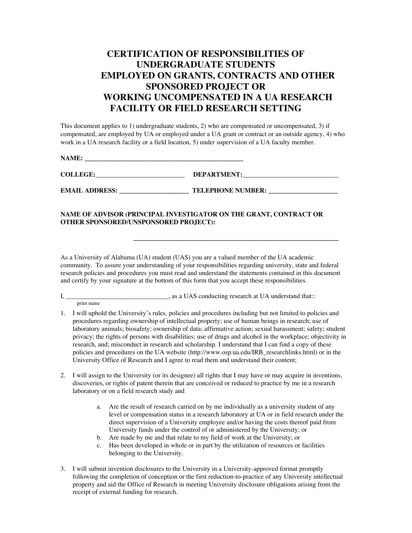## **CERTIFICATION OF RESPONSIBILITIES OF UNDERGRADUATE STUDENTS EMPLOYED ON GRANTS, CONTRACTS AND OTHER SPONSORED PROJECT OR WORKING UNCOMPENSATED IN A UA RESEARCH FACILITY OR FIELD RESEARCH SETTING**

This document applies to 1) undergraduate students, 2) who are compensated or uncompensated, 3) if compensated, are employed by UA or employed under a UA grant or contract or an outside agency, 4) who work in a UA research facility or a field location, 5) under supervision of a UA faculty member.

**NAME: \_\_\_\_\_\_\_\_\_\_\_\_\_\_\_\_\_\_\_\_\_\_\_\_\_\_\_\_\_\_\_\_\_\_\_\_\_\_\_\_\_\_\_\_\_\_\_\_**

**COLLEGE: DEPARTMENT:** 

**EMAIL ADDRESS: TELEPHONE NUMBER:** 

## **NAME OF ADVISOR (PRINCIPAL INVESTIGATOR ON THE GRANT, CONTRACT OR OTHER SPONSORED/UNSPONSORED PROJECT):**

As a University of Alabama (UA) student (UAS) you are a valued member of the UA academic community. To assure your understanding of your responsibilities regarding university, state and federal research policies and procedures you must read and understand the statements contained in this document and certify by your signature at the bottom of this form that you accept these responsibilities.

 **\_\_\_\_\_\_\_\_\_\_\_\_\_\_\_\_\_\_\_\_\_\_\_\_\_\_\_\_\_\_\_\_\_\_\_\_\_\_\_\_\_\_\_\_\_\_\_\_\_\_\_\_\_\_\_\_\_\_\_\_\_\_**

I, \_\_\_\_\_\_\_\_\_\_\_\_\_\_\_\_\_\_\_\_\_\_\_\_\_\_\_\_\_\_\_, as a UAS conducting research at UA understand that::

 print name 1. I will uphold the University's rules, policies and procedures including but not limited to policies and procedures regarding ownership of intellectual property; use of human beings in research; use of laboratory animals; biosafety; ownership of data; affirmative action; sexual harassment; safety; student privacy; the rights of persons with disabilities; use of drugs and alcohol in the workplace; objectivity in research, and; misconduct in research and scholarship. I understand that I can find a copy of these policies and procedures on the UA website (http://www.osp.ua.edu/IRB\_researchlinks.html) or in the

University Office of Research and I agree to read them and understand their content;

- 2. I will assign to the University (or its designee) all rights that I may have or may acquire in inventions, discoveries, or rights of patent therein that are conceived or reduced to practice by me in a research laboratory or on a field research study and
	- a. Are the result of research carried on by me individually as a university student of any level or compensation status in a research laboratory at UA or in field research under the direct supervision of a University employee and/or having the costs thereof paid from University funds under the control of or administered by the University; or
	- b. Are made by me and that relate to my field of work at the University; or
	- c. Has been developed in whole or in part by the utilization of resources or facilities belonging to the University.
- 3. I will submit invention disclosures to the University in a University-approved format promptly following the completion of conception or the first reduction-to-practice of any University intellectual property and aid the Office of Research in meeting University disclosure obligations arising from the receipt of external funding for research.